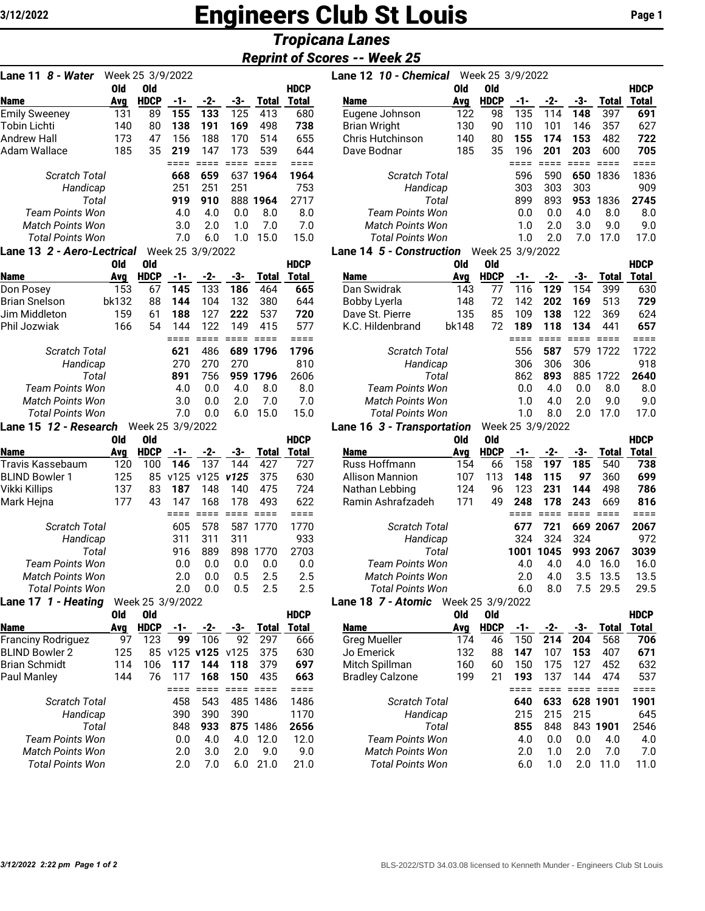## **Engineers Club St Louis Page 1**

## *Tropicana Lanes*

## **Reprint of Scor**

| Lane 11 <i>8 - Water</i>                    |            | Week 25 3/9/2022          |                  |                |                 |                     |              |
|---------------------------------------------|------------|---------------------------|------------------|----------------|-----------------|---------------------|--------------|
|                                             | Old        | <b>Old</b>                |                  |                |                 |                     | <b>HDCP</b>  |
| <b>Name</b>                                 | Avg        | <b>HDCP</b>               | $-1-$<br>155     | $-2-$<br>133   | -3-<br>125      | <b>Total</b>        | Total<br>680 |
| <b>Emily Sweeney</b><br><b>Tobin Lichti</b> | 131<br>140 | 89<br>80                  | 138              | 191            | 169             | 413<br>498          | 738          |
| <b>Andrew Hall</b>                          | 173        | 47                        | 156              | 188            | 170             | 514                 | 655          |
| <b>Adam Wallace</b>                         | 185        | 35                        | 219              | 147            | 173             | 539                 | 644          |
|                                             |            |                           | ====             | $====$         | $=$ $=$ $=$ $=$ | $=$ $=$ $=$ $=$     | ====         |
| <b>Scratch Total</b>                        |            |                           | 668              | 659            | 637             | 1964                | 1964         |
| Handicap                                    |            |                           | 251              | 251            | 251             |                     | 753          |
| Total                                       |            |                           | 919              | 910            | 888             | 1964                | 2717         |
| <b>Team Points Won</b>                      |            |                           | 4.0              | 4.0            | 0.0             | 8.0                 | 8.0          |
| <b>Match Points Won</b>                     |            |                           | 3.0              | 2.0            | 1.0             | 7.0                 | 7.0          |
| <b>Total Points Won</b>                     |            |                           | 7.0              | 6.0            | 1.0             | 15.0                | 15.0         |
| Lane 13 2 - Aero-Lectrical                  |            |                           | Week 25 3/9/2022 |                |                 |                     |              |
| <b>Name</b>                                 | Old        | <b>Old</b><br><b>HDCP</b> |                  |                |                 |                     | <b>HDCP</b>  |
| Don Posey                                   | Avg<br>153 | 67                        | -1-<br>145       | -2-<br>133     | -3-<br>186      | Total<br>464        | Total<br>665 |
| <b>Brian Snelson</b>                        | bk132      | 88                        | 144              | 104            | 132             | 380                 | 644          |
| Jim Middleton                               | 159        | 61                        | 188              | 127            | 222             | 537                 | 720          |
| Phil Jozwiak                                | 166        | 54                        | 144              | 122            | 149             | 415                 | 577          |
|                                             |            |                           | $====$           | $====$         | $====$          | $====$              | ====         |
| <b>Scratch Total</b>                        |            |                           | 621              | 486            | 689             | 1796                | 1796         |
| Handicap                                    |            |                           | 270              | 270            | 270             |                     | 810          |
| Total                                       |            |                           | 891              | 756            |                 | 959 1796            | 2606         |
| <b>Team Points Won</b>                      |            |                           | 4.0              | 0.0            | 4.0             | 8.0                 | 8.0          |
| <b>Match Points Won</b>                     |            |                           | 3.0              | 0.0            | 2.0             | 7.0                 | 7.0          |
| <b>Total Points Won</b>                     |            |                           | 7.0              | 0.0            | 6.0             | 15.0                | 15.0         |
| Lane 15 12 - Research                       |            | Week 25 3/9/2022          |                  |                |                 |                     |              |
|                                             | <b>Old</b> | Old                       |                  |                |                 |                     | <b>HDCP</b>  |
| <b>Name</b><br>Travis Kassebaum             | Avg<br>120 | <b>HDCP</b><br>100        | $-1-$<br>146     | -2-<br>137     | -3-<br>144      | <b>Total</b><br>427 | Total<br>727 |
| <b>BLIND Bowler 1</b>                       | 125        | 85                        | v125             | v125           | v125            | 375                 | 630          |
| Vikki Killips                               | 137        | 83                        | 187              | 148            | 140             | 475                 | 724          |
| Mark Hejna                                  | 177        | 43                        | 147              | 168            | 178             | 493                 | 622          |
|                                             |            |                           | ====             | <b>EEEE</b>    | $====$          | $====$              | ====         |
| <b>Scratch Total</b>                        |            |                           | 605              | 578            | 587             | 1770                | 1770         |
| Handicap                                    |            |                           | 311              | 311            | 311             |                     | 933          |
| Total                                       |            |                           | 916              | 889            | 898             | 1770                | 2703         |
| <b>Team Points Won</b>                      |            |                           | 0.0              | 0.0            | 0.0             | 0.0                 | 0.0          |
| <b>Match Points Won</b>                     |            |                           | 2.0              | 0.0            | 0.5             | 2.5                 | 2.5          |
| <b>Total Points Won</b>                     |            |                           | 2.0              | 0.0            | 0.5             | 2.5                 | 2.5          |
| Lane 17 1 - Heating                         |            | Week 25 3/9/2022          |                  |                |                 |                     |              |
|                                             | Old        | Old                       |                  |                |                 |                     | <b>HDCP</b>  |
| Name                                        | Avg        | <b>HDCP</b>               | -1-              | -2-            | -3-             | <b>Total</b>        | Total        |
| <b>Franciny Rodriguez</b>                   | 97         | 123                       | 99               | 106            | 92              | 297                 | 666          |
| <b>BLIND Bowler 2</b>                       | 125        | 85                        |                  | v125 v125 v125 |                 | 375                 | 630          |
| <b>Brian Schmidt</b>                        | 114        | 106                       | 117              | 144            | 118             | 379                 | 697          |
| Paul Manley                                 | 144        | 76                        | 117              | 168<br>$== ==$ | 150<br>$====$   | 435                 | 663          |
| <b>Scratch Total</b>                        |            |                           | ====<br>458      | 543            | 485             | ====<br>1486        | ====<br>1486 |
| Handicap                                    |            |                           | 390              | 390            | 390             |                     | 1170         |
| Total                                       |            |                           | 848              | 933            | 875             | 1486                | 2656         |
| Team Points Won                             |            |                           | 0.0              | 4.0            | 4.0             | 12.0                | 12.0         |
| <b>Match Points Won</b>                     |            |                           | 2.0              | 3.0            | 2.0             | 9.0                 | 9.0          |
| <b>Total Points Won</b>                     |            |                           | 2.0              | 7.0            | 6.0             | 21.0                | 21.0         |

|                            |                  |                  |                  |                 |               |                 |                | <b>Reprint of Scores -- Week 25</b> |               |                  |             |                        |                        |                        |                 |
|----------------------------|------------------|------------------|------------------|-----------------|---------------|-----------------|----------------|-------------------------------------|---------------|------------------|-------------|------------------------|------------------------|------------------------|-----------------|
| Lane 11 8 - Water          | Week 25 3/9/2022 |                  |                  |                 |               |                 |                | Lane 12 10 - Chemical               |               | Week 25 3/9/2022 |             |                        |                        |                        |                 |
|                            | <b>Old</b>       | <b>Old</b>       |                  |                 |               |                 | <b>HDCP</b>    |                                     | Old           | Old              |             |                        |                        |                        | <b>HDCP</b>     |
| Name                       | Avg              | <b>HDCP</b>      | -1-              | -2-             | -3-           | Total           | <b>Total</b>   | Name                                | Avg           | <b>HDCP</b>      | -1-         | -2-                    | -3-                    | <b>Total</b>           | <b>Total</b>    |
| <b>Emily Sweeney</b>       | 131              | 89               | 155              | 133             | 125           | 413             | 680            | Eugene Johnson                      | 122           | 98               | 135         | 114                    | 148                    | 397                    | 691             |
| Tobin Lichti               | 140              | 80               | 138              | 191             | 169           | 498             | 738            | <b>Brian Wright</b>                 |               | 90               | 110         | 101                    | 146                    | 357                    | 627             |
| Andrew Hall                | 173              | 47               | 156              | 188             | 170           | 514             | 655            | Chris Hutchinson                    | 140           | 80               | 155         | 174                    | 153                    | 482                    | 722             |
| Adam Wallace               | 185              | 35               | 219<br>$== ==$   | 147<br>$====$   | 173<br>$====$ | 539<br>$====$   | 644<br>$== ==$ | Dave Bodnar                         | 185           | 35               | 196<br>==== | 201<br>$=$ $=$ $=$ $=$ | 203<br>$=$ $=$ $=$ $=$ | 600<br>$=$ $=$ $=$ $=$ | 705<br>====     |
| <b>Scratch Total</b>       |                  |                  | 668              | 659             |               | 637 1964        | 1964           | <b>Scratch Total</b>                |               |                  | 596         | 590                    |                        | 650 1836               | 1836            |
| Handicap                   |                  |                  | 251              | 251             | 251           |                 | 753            | Handicap                            |               |                  | 303         | 303                    | 303                    |                        | 909             |
| Total                      |                  |                  | 919              | 910             |               | 888 1964        | 2717           |                                     | Total         |                  |             |                        | 953                    | 1836                   | 2745            |
| <b>Team Points Won</b>     |                  |                  | 4.0              | 4.0             | 0.0           | 8.0             | 8.0            | <b>Team Points Won</b>              |               |                  | 0.0         | 0.0                    | 4.0                    | 8.0                    | 8.0             |
| Match Points Won           |                  |                  | 3.0              | 2.0             | 1.0           | 7.0             | 7.0            | Match Points Won                    |               |                  |             | 2.0                    | 3.0                    | 9.0                    | 9.0             |
| <b>Total Points Won</b>    |                  |                  | 7.0              | 6.0             | 1.0           | 15.0            | 15.0           | Total Points Won                    |               |                  |             | 2.0                    | 7.0                    | 17.0                   | 17.0            |
| Lane 13 2 - Aero-Lectrical |                  |                  | Week 25 3/9/2022 |                 |               |                 |                | Lane 14 5 - Construction            |               | Week 25 3/9/2022 |             |                        |                        |                        |                 |
|                            | 0ld              | <b>Old</b>       |                  |                 |               |                 | <b>HDCP</b>    |                                     | 0ld           | Old              |             |                        |                        |                        | <b>HDCP</b>     |
| Name                       | Avg              | <b>HDCP</b>      | -1-              | -2-             | -3-           | Total           | <b>Total</b>   | <b>Name</b>                         | Avg           | <b>HDCP</b>      | -1-         | -2-                    | -3-                    | <b>Total</b>           | <b>Total</b>    |
| Don Posey                  | 153              | 67               | 145              | 133             | 186           | 464             | 665            | Dan Swidrak                         | 143           | 77               | 116         | 129                    | 154                    | 399                    | 630             |
| <b>Brian Snelson</b>       | bk132            | 88               | 144              | 104             | 132           | 380             | 644            | Bobby Lyerla                        | 148           | 72               | 142         | 202                    | 169                    | 513                    | 729             |
| Jim Middleton              | 159              | 61               | 188              | 127             | 222           | 537             | 720            | Dave St. Pierre                     | 135           | 85               | 109         | 138                    | 122                    | 369                    | 624             |
| Phil Jozwiak               | 166              | 54               | 144              | 122             | 149           | 415             | 577            | K.C. Hildenbrand                    | bk148         | 72               | 189         | 118                    | 134                    | 441                    | 657             |
|                            |                  |                  | ====             | $=$ $=$ $=$ $=$ | $====$        | $=$ $=$ $=$ $=$ | $====$         |                                     |               |                  | ====        | $====$                 | $=$ $=$ $=$ $=$        | $=$ $=$ $=$ $=$        | ====            |
| <b>Scratch Total</b>       |                  |                  | 621              | 486             |               | 689 1796        | 1796           |                                     | Scratch Total |                  | 556         | 587                    |                        | 579 1722               | 1722            |
| Handicap                   |                  |                  | 270              | 270             | 270           |                 | 810            | Handicap                            |               |                  | 306         | 306                    | 306                    |                        | 918             |
| Total                      |                  |                  | 891              | 756             |               | 959 1796        | 2606           | Total                               |               |                  | 862         | 893                    |                        | 885 1722               | 2640            |
| <b>Team Points Won</b>     |                  |                  | 4.0              | 0.0             | 4.0           | 8.0             | 8.0            | <b>Team Points Won</b>              |               |                  | 0.0         | 4.0                    | 0.0                    | 8.0                    | 8.0             |
| Match Points Won           |                  |                  | 3.0              | 0.0             | 2.0           | 7.0             | 7.0            | Match Points Won                    |               |                  | 1.0         | 4.0                    | 2.0                    | 9.0                    | 9.0             |
| <b>Total Points Won</b>    |                  |                  | 7.0              | 0.0             | $6.0\,$       | 15.0            | 15.0           | <b>Total Points Won</b>             |               |                  | 1.0         | 8.0                    | 2.0                    | 17.0                   | 17.0            |
| Lane 15 12 - Research      |                  | Week 25 3/9/2022 |                  |                 |               |                 |                | Lane 16 3 - Transportation          |               |                  |             | Week 25 3/9/2022       |                        |                        |                 |
|                            | Old              | Old              |                  |                 |               |                 | <b>HDCP</b>    |                                     | 0ld           | Old              |             |                        |                        |                        | <b>HDCP</b>     |
| Name                       | Avg              | <b>HDCP</b>      | $-1-$            | -2-             | -3-           | Total           | Total          | <b>Name</b>                         | Avg           | <b>HDCP</b>      | -1-         | -2-                    | -3-                    | <b>Total</b>           | <b>Total</b>    |
| Travis Kassebaum           | 120              | 100              | 146              | 137             | 144           | 427             | 727            | Russ Hoffmann                       | 154           | 66               | 158         | 197                    | 185                    | 540                    | 738             |
| <b>BLIND Bowler 1</b>      | 125              | 85               | v125 v125 v125   |                 |               | 375             | 630            | <b>Allison Mannion</b>              | 107           | 113              | 148         | 115                    | 97                     | 360                    | 699             |
| Vikki Killips              | 137              | 83               | 187              | 148             | 140           | 475             | 724            | Nathan Lebbing                      | 124           | 96               | 123         | 231                    | 144                    | 498                    | 786             |
| Mark Hejna                 | 177              | 43               | 147              | 168             | 178           | 493             | 622            | Ramin Ashrafzadeh                   | 171           | 49               | 248         | 178                    | 243                    | 669                    | 816             |
|                            |                  |                  | ====             | $====$          | $====$        | $=$ $=$ $=$ $=$ | $====$         |                                     |               |                  | ====        | $=$ $=$ $=$ $=$        | $=$ $=$ $=$            | $=$ $=$ $=$ $=$        | $=$ $=$ $=$ $=$ |
| Scratch Total              |                  |                  | 605              | 578             |               | 587 1770        | 1770           | Scratch Total                       |               |                  | 677         | 721                    |                        | 669 2067               | 2067            |
| Handicap                   |                  |                  | 311              | 311             | 311           |                 | 933            | Handicap                            |               |                  | 324         | 324                    | 324                    |                        | 972             |
| Total                      |                  |                  | 916              | 889             | 898           | 1770            | 2703           | Total                               |               |                  | 1001        | 1045                   |                        | 993 2067               | 3039            |
| Team Points Won            |                  |                  | 0.0              | 0.0             | 0.0           | 0.0             | 0.0            | <b>Team Points Won</b>              |               |                  | 4.0         | 4.0                    | 4.0                    | 16.0                   | 16.0            |
| Match Points Won           |                  |                  | 2.0              | 0.0             | 0.5           | 2.5             | 2.5            | Match Points Won                    |               |                  | 2.0         | 4.0                    | 3.5                    | 13.5                   | 13.5            |
| <b>Total Points Won</b>    |                  |                  | 2.0              | 0.0             | 0.5           | 2.5             | 2.5            | Total Points Won<br>6.0             |               |                  |             | 8.0                    | 7.5                    | 29.5                   | 29.5            |

**Lane 18** *7 - Atomic* Week 25 3/9/2022

|                         | Old | Old         |     |               |      |              | <b>HDCP</b> |                         | 0ld | 0ld         |     |     |     |       | <b>HDCP</b> |
|-------------------------|-----|-------------|-----|---------------|------|--------------|-------------|-------------------------|-----|-------------|-----|-----|-----|-------|-------------|
| <b>Name</b>             | Ava | <b>HDCP</b> | -1- | $-2-$         | -3-  | <b>Total</b> | Total       | <b>Name</b>             | Avg | <b>HDCP</b> |     | -2- | -3- | Total | Total       |
| Franciny Rodriguez      | 97  | 123         | 99  | 106           | 92   | 297          | 666         | <b>Greg Mueller</b>     | 174 | 46          | 150 | 214 | 204 | 568   | 706         |
| <b>BLIND Bowler 2</b>   | 125 | 85          |     | $v125$ $v125$ | v125 | 375          | 630         | Jo Emerick              | 132 | 88          | 147 | 107 | 153 | 407   | 671         |
| Brian Schmidt           | 114 | 106         | 117 | 144           | 118  | 379          | 697         | Mitch Spillman          | 160 | 60          | 150 | 175 | 127 | 452   | 632         |
| Paul Manley             | 144 | 76          | 117 | 168           | 150  | 435          | 663         | <b>Bradley Calzone</b>  | 199 | 21          | 193 | 137 | 144 | 474   | 537         |
|                         |     |             |     |               |      |              |             |                         |     |             |     |     |     |       |             |
| <b>Scratch Total</b>    |     |             | 458 | 543           | 485  | 1486         | 1486        | <b>Scratch Total</b>    |     |             | 640 | 633 | 628 | 1901  | 1901        |
| Handicap                |     |             | 390 | 390           | 390  |              | 1170        | Handicap                |     |             | 215 | 215 | 215 |       | 645         |
| Total                   |     |             | 848 | 933           | 875  | 1486         | 2656        | Total                   |     |             | 855 | 848 | 843 | 1901  | 2546        |
| Team Points Won         |     |             | 0.0 | 4.0           | 4.0  | 12.0         | 12.0        | Team Points Won         |     |             | 4.0 | 0.0 | 0.0 | 4.0   | 4.0         |
| <b>Match Points Won</b> |     |             | 2.0 | 3.0           | 2.0  | 9.0          | 9.0         | <b>Match Points Won</b> |     |             | 2.0 | 1.0 | 2.0 | 7.0   | 7.0         |
| <b>Total Points Won</b> |     |             | 2.0 | 7.0           | 6.0  | 21.0         | 21.0        | Total Points Won        |     |             | 6.0 |     | 2.0 | 11.0  | 11.0        |
|                         |     |             |     |               |      |              |             |                         |     |             |     |     |     |       |             |